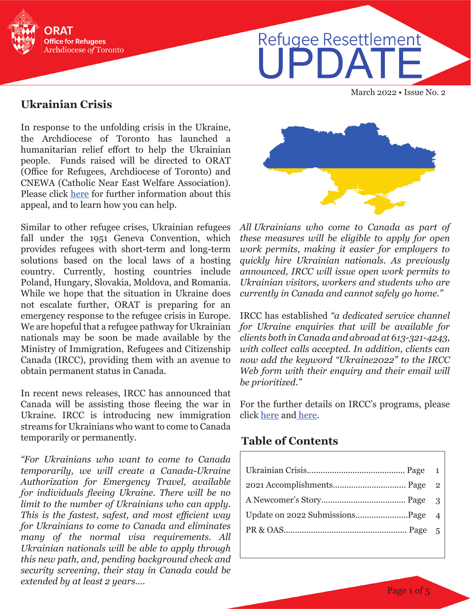

# Refugee Resettlement I IPDA<sup>-</sup>

March 2022 • Issue No. 2

#### **Ukrainian Crisis**

In response to the unfolding crisis in the Ukraine, the Archdiocese of Toronto has launched a humanitarian relief effort to help the Ukrainian people. Funds raised will be directed to ORAT (Office for Refugees, Archdiocese of Toronto) and CNEWA (Catholic Near East Welfare Association). Please click [here](https://www.archtoronto.org/fr/contact-us/donations/donate-pages/donate-to-humanitarian-relief/) for further information about this appeal, and to learn how you can help.

Similar to other refugee crises, Ukrainian refugees fall under the 1951 Geneva Convention, which provides refugees with short-term and long-term solutions based on the local laws of a hosting country. Currently, hosting countries include Poland, Hungary, Slovakia, Moldova, and Romania. While we hope that the situation in Ukraine does not escalate further, ORAT is preparing for an emergency response to the refugee crisis in Europe. We are hopeful that a refugee pathway for Ukrainian nationals may be soon be made available by the Ministry of Immigration, Refugees and Citizenship Canada (IRCC), providing them with an avenue to obtain permanent status in Canada.

In recent news releases, IRCC has announced that Canada will be assisting those fleeing the war in Ukraine. IRCC is introducing new immigration streams for Ukrainians who want to come to Canada temporarily or permanently.

*"For Ukrainians who want to come to Canada temporarily, we will create a Canada-Ukraine Authorization for Emergency Travel, available for individuals fleeing Ukraine. There will be no limit to the number of Ukrainians who can apply. This is the fastest, safest, and most efficient way for Ukrainians to come to Canada and eliminates many of the normal visa requirements. All Ukrainian nationals will be able to apply through this new path, and, pending background check and security screening, their stay in Canada could be extended by at least 2 years….* 



*All.Ukrainians who come to Canada as part of these measures will be eligible to apply for open work permits, making it easier for employers to quickly hire Ukrainian nationals. As previously announced, IRCC will issue open work permits to Ukrainian visitors, workers and students who are currently in Canada and cannot safely go home."*

IRCC has established *"a dedicated service channel for Ukraine enquiries that will be available for clients both in Canada and abroad at 613-321-4243, with collect calls accepted. In addition, clients can now add the keyword "Ukraine2022" to the IRCC Web form with their enquiry and their email will be prioritized."*

For the further details on IRCC's programs, please click [here](https://www.canada.ca/en/immigration-refugees-citizenship/news/2022/02/additional-immigration-support-for-those-affected-by-the-situation-in-ukraine.html) and [here.](https://www.canada.ca/en/immigration-refugees-citizenship/news/2022/03/canada-to-welcome-those-fleeing-the-war-in-ukraine.html)

## **Table of Contents**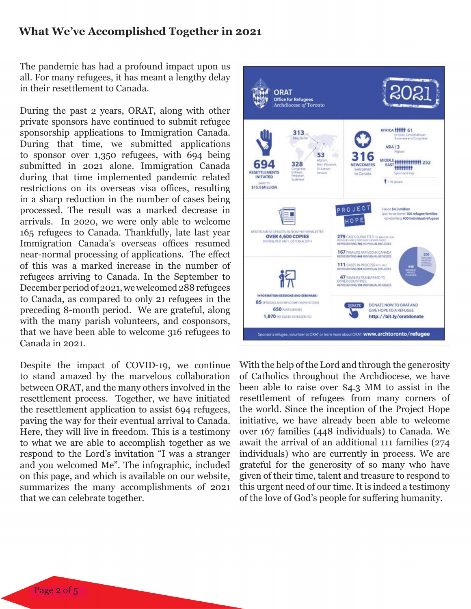#### **What We've Accomplished Together in 2021**

The pandemic has had a profound impact upon us all. For many refugees, it has meant a lengthy delay in their resettlement to Canada.

During the past 2 years, ORAT, along with other private sponsors have continued to submit refugee sponsorship applications to Immigration Canada. During that time, we submitted applications to sponsor over 1,350 refugees, with 694 being submitted in 2021 alone. Immigration Canada during that time implemented pandemic related restrictions on its overseas visa offices, resulting in a sharp reduction in the number of cases being processed. The result was a marked decrease in arrivals. In 2020, we were only able to welcome 165 refugees to Canada. Thankfully, late last year Immigration Canada's overseas offices resumed near-normal processing of applications. The effect of this was a marked increase in the number of refugees arriving to Canada. In the September to December period of 2021, we welcomed 288 refugees to Canada, as compared to only 21 refugees in the preceding 8-month period. We are grateful, along with the many parish volunteers, and cosponsors, that we have been able to welcome 316 refugees to Canada in 2021.

Despite the impact of COVID-19, we continue to stand amazed by the marvelous collaboration between ORAT, and the many others involved in the resettlement process. Together, we have initiated the resettlement application to assist 694 refugees, paving the way for their eventual arrival to Canada. Here, they will live in freedom. This is a testimony to what we are able to accomplish together as we respond to the Lord's invitation "I was a stranger and you welcomed Me". The infographic, included on this page, and which is available on our website, summarizes the many accomplishments of 2021 that we can celebrate together.



With the help of the Lord and through the generosity of Catholics throughout the Archdiocese, we have been able to raise over \$4.3 MM to assist in the resettlement of refugees from many corners of the world. Since the inception of the Project Hope initiative, we have already been able to welcome over 167 families (448 individuals) to Canada. We await the arrival of an additional 111 families (274 individuals) who are currently in process. We are grateful for the generosity of so many who have given of their time, talent and treasure to respond to this urgent need of our time. It is indeed a testimony of the love of God's people for suffering humanity.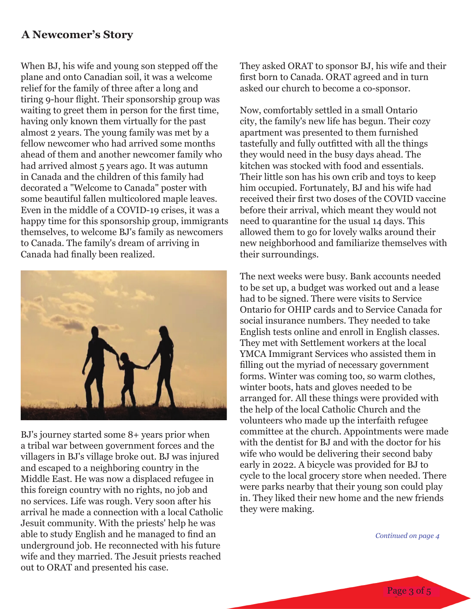## **A Newcomer's Story**

When BJ, his wife and young son stepped off the plane and onto Canadian soil, it was a welcome relief for the family of three after a long and tiring 9-hour flight. Their sponsorship group was waiting to greet them in person for the first time, having only known them virtually for the past almost 2 years. The young family was met by a fellow newcomer who had arrived some months ahead of them and another newcomer family who had arrived almost 5 years ago. It was autumn in Canada and the children of this family had decorated a "Welcome to Canada" poster with some beautiful fallen multicolored maple leaves. Even in the middle of a COVID-19 crises, it was a happy time for this sponsorship group, immigrants themselves, to welcome BJ's family as newcomers to Canada. The family's dream of arriving in Canada had finally been realized.



BJ's journey started some 8+ years prior when a tribal war between government forces and the villagers in BJ's village broke out. BJ was injured and escaped to a neighboring country in the Middle East. He was now a displaced refugee in this foreign country with no rights, no job and no services. Life was rough. Very soon after his arrival he made a connection with a local Catholic Jesuit community. With the priests' help he was able to study English and he managed to find an underground job. He reconnected with his future wife and they married. The Jesuit priests reached out to ORAT and presented his case.

They asked ORAT to sponsor BJ, his wife and their first born to Canada. ORAT agreed and in turn asked our church to become a co-sponsor.

Now, comfortably settled in a small Ontario city, the family's new life has begun. Their cozy apartment was presented to them furnished tastefully and fully outfitted with all the things they would need in the busy days ahead. The kitchen was stocked with food and essentials. Their little son has his own crib and toys to keep him occupied. Fortunately, BJ and his wife had received their first two doses of the COVID vaccine before their arrival, which meant they would not need to quarantine for the usual 14 days. This allowed them to go for lovely walks around their new neighborhood and familiarize themselves with their surroundings.

The next weeks were busy. Bank accounts needed to be set up, a budget was worked out and a lease had to be signed. There were visits to Service Ontario for OHIP cards and to Service Canada for social insurance numbers. They needed to take English tests online and enroll in English classes. They met with Settlement workers at the local YMCA Immigrant Services who assisted them in filling out the myriad of necessary government forms. Winter was coming too, so warm clothes, winter boots, hats and gloves needed to be arranged for. All these things were provided with the help of the local Catholic Church and the volunteers who made up the interfaith refugee committee at the church. Appointments were made with the dentist for BJ and with the doctor for his wife who would be delivering their second baby early in 2022. A bicycle was provided for BJ to cycle to the local grocery store when needed. There were parks nearby that their young son could play in. They liked their new home and the new friends they were making.

*Continued on page 4*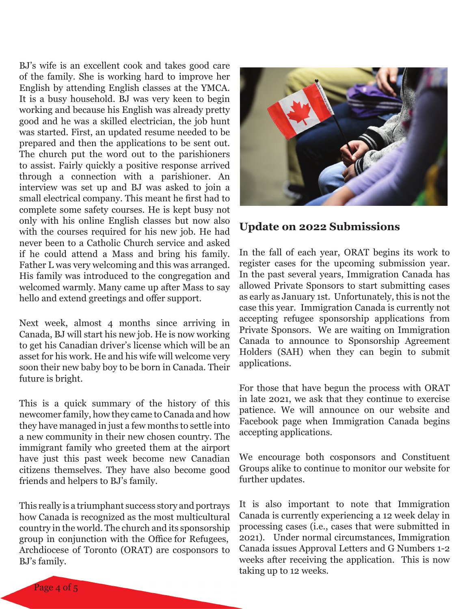BJ's wife is an excellent cook and takes good care of the family. She is working hard to improve her English by attending English classes at the YMCA. It is a busy household. BJ was very keen to begin working and because his English was already pretty good and he was a skilled electrician, the job hunt was started. First, an updated resume needed to be prepared and then the applications to be sent out. The church put the word out to the parishioners to assist. Fairly quickly a positive response arrived through a connection with a parishioner. An interview was set up and BJ was asked to join a small electrical company. This meant he first had to complete some safety courses. He is kept busy not only with his online English classes but now also with the courses required for his new job. He had never been to a Catholic Church service and asked if he could attend a Mass and bring his family. Father L was very welcoming and this was arranged. His family was introduced to the congregation and welcomed warmly. Many came up after Mass to say hello and extend greetings and offer support.

Next week, almost 4 months since arriving in Canada, BJ will start his new job. He is now working to get his Canadian driver's license which will be an asset for his work. He and his wife will welcome very soon their new baby boy to be born in Canada. Their future is bright.

This is a quick summary of the history of this newcomer family, how they came to Canada and how they have managed in just a few months to settle into a new community in their new chosen country. The immigrant family who greeted them at the airport have just this past week become new Canadian citizens themselves. They have also become good friends and helpers to BJ's family.

This really is a triumphant success story and portrays how Canada is recognized as the most multicultural country in the world. The church and its sponsorship group in conjunction with the Office for Refugees, Archdiocese of Toronto (ORAT) are cosponsors to BJ's family.



#### **Update on 2022 Submissions**

In the fall of each year, ORAT begins its work to register cases for the upcoming submission year. In the past several years, Immigration Canada has allowed Private Sponsors to start submitting cases as early as January 1st. Unfortunately, this is not the case this year. Immigration Canada is currently not accepting refugee sponsorship applications from Private Sponsors. We are waiting on Immigration Canada to announce to Sponsorship Agreement Holders (SAH) when they can begin to submit applications.

For those that have begun the process with ORAT in late 2021, we ask that they continue to exercise patience. We will announce on our website and Facebook page when Immigration Canada begins accepting applications.

We encourage both cosponsors and Constituent Groups alike to continue to monitor our website for further updates.

It is also important to note that Immigration Canada is currently experiencing a 12 week delay in processing cases (i.e., cases that were submitted in 2021). Under normal circumstances, Immigration Canada issues Approval Letters and G Numbers 1-2 weeks after receiving the application. This is now taking up to 12 weeks.